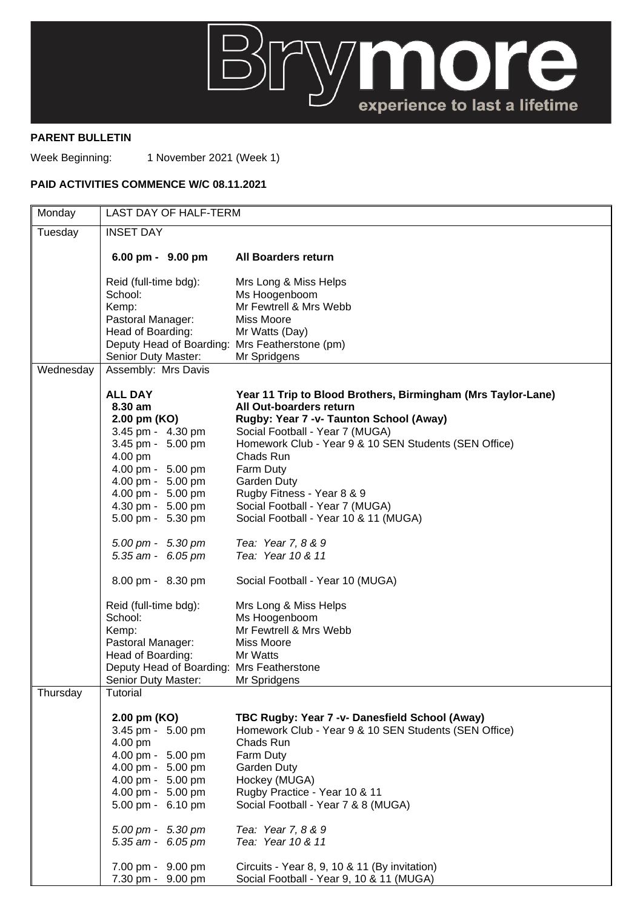

## **PARENT BULLETIN**

Week Beginning: 1 November 2021 (Week 1)

## **PAID ACTIVITIES COMMENCE W/C 08.11.2021**

| Monday    | LAST DAY OF HALF-TERM                                          |                                                              |
|-----------|----------------------------------------------------------------|--------------------------------------------------------------|
| Tuesday   | <b>INSET DAY</b>                                               |                                                              |
|           | 6.00 pm - 9.00 pm                                              | <b>All Boarders return</b>                                   |
|           | Reid (full-time bdg):                                          | Mrs Long & Miss Helps                                        |
|           | School:                                                        | Ms Hoogenboom                                                |
|           | Kemp:                                                          | Mr Fewtrell & Mrs Webb                                       |
|           | Pastoral Manager:                                              | Miss Moore                                                   |
|           | Head of Boarding:                                              | Mr Watts (Day)                                               |
|           | Deputy Head of Boarding: Mrs Featherstone (pm)                 |                                                              |
|           | Senior Duty Master:                                            | Mr Spridgens                                                 |
| Wednesday | Assembly: Mrs Davis                                            |                                                              |
|           | <b>ALL DAY</b>                                                 | Year 11 Trip to Blood Brothers, Birmingham (Mrs Taylor-Lane) |
|           | 8.30 am                                                        | All Out-boarders return                                      |
|           | 2.00 pm (KO)                                                   | Rugby: Year 7 -v- Taunton School (Away)                      |
|           | 3.45 pm - 4.30 pm                                              | Social Football - Year 7 (MUGA)                              |
|           | 3.45 pm - 5.00 pm                                              | Homework Club - Year 9 & 10 SEN Students (SEN Office)        |
|           | 4.00 pm                                                        | Chads Run                                                    |
|           | 4.00 pm - 5.00 pm                                              | Farm Duty                                                    |
|           | 4.00 pm - 5.00 pm                                              | Garden Duty                                                  |
|           | 4.00 pm - 5.00 pm                                              | Rugby Fitness - Year 8 & 9                                   |
|           | 4.30 pm - 5.00 pm                                              | Social Football - Year 7 (MUGA)                              |
|           | 5.00 pm - 5.30 pm                                              | Social Football - Year 10 & 11 (MUGA)                        |
|           | $5.00 \text{ pm} - 5.30 \text{ pm}$                            | Tea: Year 7, 8 & 9                                           |
|           | 5.35 am - 6.05 pm                                              | Tea: Year 10 & 11                                            |
|           | 8.00 pm - 8.30 pm                                              | Social Football - Year 10 (MUGA)                             |
|           | Reid (full-time bdg):                                          | Mrs Long & Miss Helps                                        |
|           | School:                                                        | Ms Hoogenboom                                                |
|           | Kemp:                                                          | Mr Fewtrell & Mrs Webb                                       |
|           | Pastoral Manager:                                              | Miss Moore<br>Mr Watts                                       |
|           | Head of Boarding:<br>Deputy Head of Boarding: Mrs Featherstone |                                                              |
|           | Senior Duty Master:                                            | Mr Spridgens                                                 |
| Thursday  | Tutorial                                                       |                                                              |
|           | 2.00 pm (KO)                                                   | TBC Rugby: Year 7 -v- Danesfield School (Away)               |
|           | 3.45 pm - 5.00 pm                                              | Homework Club - Year 9 & 10 SEN Students (SEN Office)        |
|           | 4.00 pm                                                        | Chads Run                                                    |
|           | 4.00 pm - 5.00 pm                                              | Farm Duty                                                    |
|           | 4.00 pm - 5.00 pm                                              | Garden Duty                                                  |
|           | 4.00 pm - 5.00 pm                                              | Hockey (MUGA)                                                |
|           | 4.00 pm - 5.00 pm                                              | Rugby Practice - Year 10 & 11                                |
|           | 5.00 pm - 6.10 pm                                              | Social Football - Year 7 & 8 (MUGA)                          |
|           | 5.00 pm - 5.30 pm                                              | Tea: Year 7, 8 & 9                                           |
|           | 5.35 am - 6.05 pm                                              | Tea: Year 10 & 11                                            |
|           | 7.00 pm - 9.00 pm                                              | Circuits - Year 8, 9, 10 & 11 (By invitation)                |
|           | 7.30 pm - 9.00 pm                                              | Social Football - Year 9, 10 & 11 (MUGA)                     |